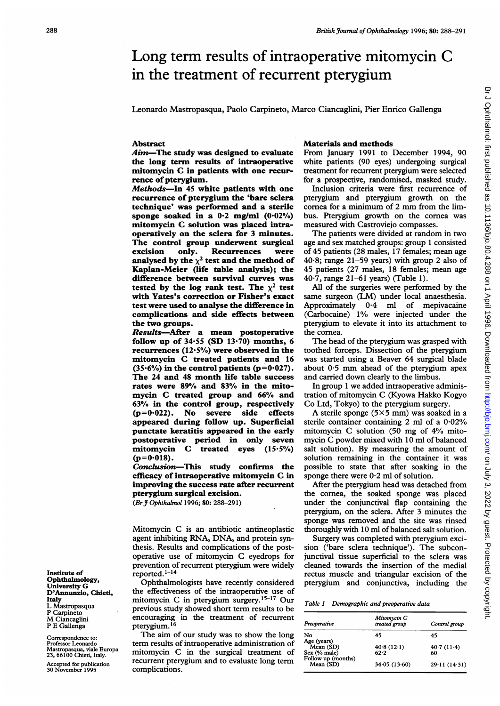# Long term results of intraoperative mitomycin C in the treatment of recurrent pterygium

Leonardo Mastropasqua, Paolo Carpineto, Marco Ciancaglini, Pier Enrico Gallenga

## Abstract

Aim-The study was designed to evaluate the long term results of intraoperative mitomycin C in patients with one recurrence of pterygium.

Methods-In 45 white patients with one recurrence of pterygium the 'bare sclera technique' was performed and a sterile sponge soaked in a  $0.2$  mg/ml  $(0.02\%)$ mitomycin C solution was placed intraoperatively on the sclera for 3 minutes. The control group underwent surgical<br>excision only. Recurrences were Recurrences were analysed by the  $\chi^2$  test and the method of Kaplan-Meier (life table analysis); the difference between survival curves was tested by the log rank test. The  $\chi^2$  test with Yates's correction or Fisher's exact test were used to analyse the difference in complications and side effects between the two groups.

Results-After a mean postoperative follow up of  $34.55$  (SD  $13.70$ ) months, 6 recurrences  $(12.5%)$  were observed in the mitomycin C treated patients and <sup>16</sup>  $(35.6\%)$  in the control patients  $(p=0.027)$ . The 24 and 48 month life table success rates were 89% and 83% in the mitomycin C treated group and 66% and 63% in the control group, respectively (p=0.022). No severe side effects appeared during follow up. Superficial punctate keratitis appeared in the early postoperative period in only seven mitomycin C treated eyes (15.5%)  $(p=0.018)$ .

Conclusion-This study confirms the efficacy of intraoperative mitomycin C in improving the success rate after recurrent pterygium surgical excision.

(Br J Ophthalmol 1996; 80: 288-291)

Mitomycin C is an antibiotic antineoplastic agent inhibiting RNA, DNA, and protein synthesis. Results and complications of the postoperative use of mitomycin C eyedrops for prevention of recurrent pterygium were widely

Ophthalmologists have recently considered D'Annunzio, Chieti, the effectiveness of the intraoperative use of Italy mitomycin C in ptervgium surgery.<sup>15-17</sup> Our Italy mitomycin C in pterygium surgery.<sup>15-17</sup> Our<br>L Mastropasqua provious study showed short term results to be L Mastropasqua previous study showed short term results to be P Caroineto  $M$  Ciancaglini encouraging in the treatment of recurrent P E Gallenga pterygium.<sup>16</sup> pterygium.<sup>16</sup>

Correspondence to: The aim of our study was to show the long term results of intraoperative administration of Professor Leonardo term results of intraoperative administration of Mastropasqua, viale Europa mitomycin C in the surgical treatment of 23, 66100 Chieti, Italy. 23, 66100 Chieti, Italy. The surgical treatment of the surgical treatment of the surgical treatment of the surgical treatment of the surgical treatment of the surgical treatment of the surgical treatment of the surgical tr

## Materials and methods

From January 1991 to December 1994, 90 white patients (90 eyes) undergoing surgical treatment for recurrent pterygium were selected for a prospective, randomised, masked study.

Inclusion criteria were first recurrence of pterygium and pterygium growth on the cornea for <sup>a</sup> minimum of <sup>2</sup> mm from the limbus. Pterygium growth on the cornea was measured with Castroviejo compasses.

The patients were divided at random in two age and sex matched groups: group <sup>1</sup> consisted of 45 patients (28 males, 17 females; mean age 40-8; range 21-59 years) with group 2 also of 45 patients (27 males, 18 females; mean age 40'7, range 21-61 years) (Table 1).

All of the surgeries were performed by the same surgeon (LM) under local anaesthesia. Approximately 0 4 ml of mepivacaine (Carbocaine) 1% were injected under the pterygium to elevate it into its attachment to the cornea.

The head of the pterygium was grasped with toothed forceps. Dissection of the pterygium was started using a Beaver 64 surgical blade about  $0.5$  mm ahead of the pterygium apex and carried down clearly to the limbus.

In group <sup>1</sup> we added intraoperative administration of mitomycin C (Kyowa Hakko Kogyo Co Ltd, Tokyo) to the pterygium surgery.

A sterile sponge  $(5 \times 5$  mm) was soaked in a sterile container containing 2 ml of a 0-02% mitomycin C solution (50 mg of 4% mitomycin C powder mixed with <sup>10</sup> ml of balanced salt solution). By measuring the amount of solution remaining in the container it was possible to state that after soaking in the sponge there were  $0.2$  ml of solution.

After the pterygium head was detached from the cornea, the soaked sponge was placed under the conjunctival flap containing the pterygium, on the sclera. After 3 minutes the sponge was removed and the site was rinsed thoroughly with 10 ml of balanced salt solution.

Surgery was completed with pterygium excision ('bare sclera technique'). The subconjunctival tissue superficial to the sclera was cleaned towards the insertion of the medial rectus muscle and triangular excision of the pterygium and conjunctiva, including the

| Table 1 Demographic and preoperative data |  |
|-------------------------------------------|--|
|-------------------------------------------|--|

| Preoperative                             | Mitomycin C<br>treated group | Control group    |  |  |
|------------------------------------------|------------------------------|------------------|--|--|
| No                                       | 45                           | 45               |  |  |
| Age (years)<br>Mean (SD)<br>Sex (% male) | 40.8(12.1)<br>62.2           | 40.7(11.4)<br>60 |  |  |
| Follow up (months)<br>Mean (SD)          | 34.05(13.60)                 | 29.11(14.31)     |  |  |

Institute of reported.<sup>1-14</sup><br>Ophthalmology, Ophthalmo University G<br>D'Annunzio, Chieti,

Accepted for publication **recurrent ptery**<br>30 November 1995 **complications.**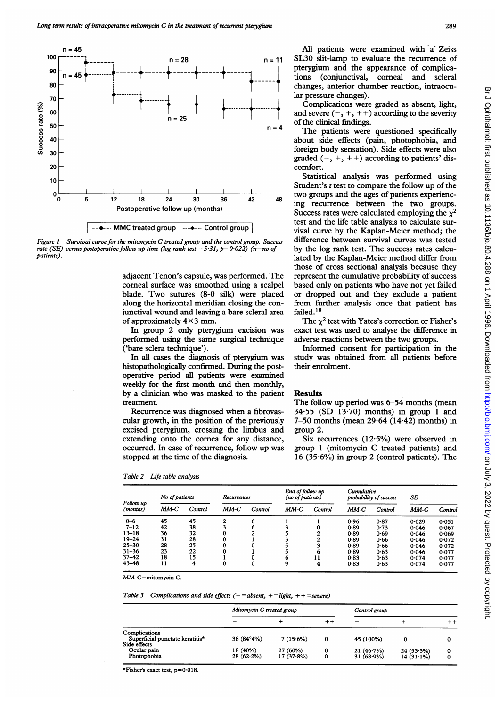

Figure 1 Survival curve for the mitomycin C treated group and the control group. Success rate (SE) versus postoperative follow up time (log rank test = 5:31, p=0:022) (n=no of versus postoperative follow up time (log rank test =5.31, p=0.022) ( $n=n$ o of patients).

adjacent Tenon's capsule, was performed. The corneal surface was smoothed using a scalpel blade. Two sutures (8-0 silk) were placed along the horizontal meridian closing the conjunctival wound and leaving a bare scleral area failed.18 of approximately  $4\times 3$  mm.

In group 2 only pterygium excision was performed using the same surgical ('bare sclera technique').

In all cases the diagnosis of pterygium was histopathologically confirmed. During the postoperative period all patients were examined weekly for the first month and then monthly, by a clinician who was masked to the patient Results treatment.

Recurrence was diagnosed when cular growth, in the position of the excised pterygium, crossing the li imbus and group 2. extending onto the cornea for any distance, occurred. In case of recurrence, fol stopped at the time of the diagnosis

Table 2 Life table analysis

All patients were examined with a Zeiss  $n = 11$  SL30 slit-lamp to evaluate the recurrence of pterygium and the appearance of complications (conjunctival, comeal and scleral changes, anterior chamber reaction, intraocular pressure changes).

> Complications were graded as absent, light, and severe  $(-, +, ++)$  according to the severity of the clinical findings.

 $n = 4$  The patients were questioned specifically about side effects (pain, photophobia, and foreign body sensation). Side effects were also graded  $(-, +, ++)$  according to patients' discomfort.

Statistical analysis was performed using Student's <sup>t</sup> test to compare the follow up of the  $\frac{1}{42}$  two groups and the ages of patients experiencing recurrence between the two groups. Success rates were calculated employing the  $\chi^2$ test and the life table analysis to calculate survival curve by the Kaplan-Meier method; the difference between survival curves was tested by the log rank test. The success rates calculated by the Kaplan-Meier method differ from those of cross sectional analysis because they represent the cumulative probability of success based only on patients who have not yet failed or dropped out and they exclude a patient from further analysis once that patient has failed.<sup>18</sup>

> The  $\chi^2$  test with Yates's correction or Fisher's exact test was used to analyse the difference in adverse reactions between the two groups.

> Informed consent for participation in the study was obtained from all patients before their enrolment.

The follow up period was 6-54 months (mean  $34.55$  (SD 13.70) months) in group 1 and 7-50 months (mean  $29.64$  (14 $\cdot$ 42) months) in

Six recurrences (12.5%) were observed in group 1 (mitomycin C treated patients) and 16 (35-6%) in group 2 (control patients). The

| (mitomycin C treated patients) and<br>occurred. In case of recurrence, follow up was<br>group 1<br>stopped at the time of the diagnosis.<br>16 $(35.6\%)$ in group 2 (control patients). The |                     |         |             |         |                                      |         |                                      |         |       |         |
|----------------------------------------------------------------------------------------------------------------------------------------------------------------------------------------------|---------------------|---------|-------------|---------|--------------------------------------|---------|--------------------------------------|---------|-------|---------|
| Table 2                                                                                                                                                                                      | Life table analysis |         |             |         |                                      |         |                                      |         |       |         |
| Follow up<br>(months)                                                                                                                                                                        | No of patients      |         | Recurrences |         | End of follow up<br>(no of patients) |         | Cumulative<br>probability of success |         | SE    |         |
|                                                                                                                                                                                              | MM-C                | Control | MM-C        | Control | MM-C                                 | Control | MM-C                                 | Control | MM-C  | Control |
| $0 - 6$                                                                                                                                                                                      | 45                  | 45      | 2           | 6       |                                      |         | 0.96                                 | 0.87    | 0.029 | 0.051   |
| $7 - 12$                                                                                                                                                                                     | 42                  | 38      |             |         |                                      |         | 0.89                                 | 0.73    | 0.046 | 0.067   |
| $13 - 18$                                                                                                                                                                                    | 36                  | 32      |             |         |                                      |         | 0.89                                 | 0.69    | 0.046 | 0.069   |
| $19 - 24$                                                                                                                                                                                    | 31                  | 28      |             |         |                                      |         | 0.89                                 | 0.66    | 0.046 | 0.072   |
| $25 - 30$                                                                                                                                                                                    | 28                  | 25      |             |         |                                      |         | 0.89                                 | 0.66    | 0.046 | 0.072   |
| $31 - 36$                                                                                                                                                                                    | 23                  | 22      |             |         |                                      |         | 0.89                                 | 0.63    | 0.046 | 0.077   |
| $37 - 42$                                                                                                                                                                                    | 18                  | 15      |             |         | 6                                    |         | 0.83                                 | 0.63    | 0.074 | 0.077   |
| $43 - 48$                                                                                                                                                                                    | 11                  | 4       |             |         | 9                                    | 4       | 0.83                                 | 0.63    | 0.074 | 0.077   |

MM-C=mitomycin C.

Table 3 Complications and side effects  $(-=absent, +=light, ++=severe)$ 

|                                                                  | Mitomycin C treated group |                          |                 | Control group             |                              |      |
|------------------------------------------------------------------|---------------------------|--------------------------|-----------------|---------------------------|------------------------------|------|
|                                                                  |                           |                          | $^{\mathrm{+}}$ |                           |                              | $^+$ |
| Complications<br>Superficial punctate keratitis*<br>Side effects | 38 (84°4%)                | $7(15.6\%)$              | 0               | 45 (100%)                 |                              |      |
| Ocular pain<br>Photophobia                                       | 18 (40%)<br>$28(62.2\%)$  | 27 (60%)<br>$17(37.8\%)$ | 0<br>0          | 21(46.7%)<br>$31(68.9\%)$ | $24(53.3\%)$<br>$14(31.1\%)$ |      |

\*Fisher's exact test,  $p=0.018$ .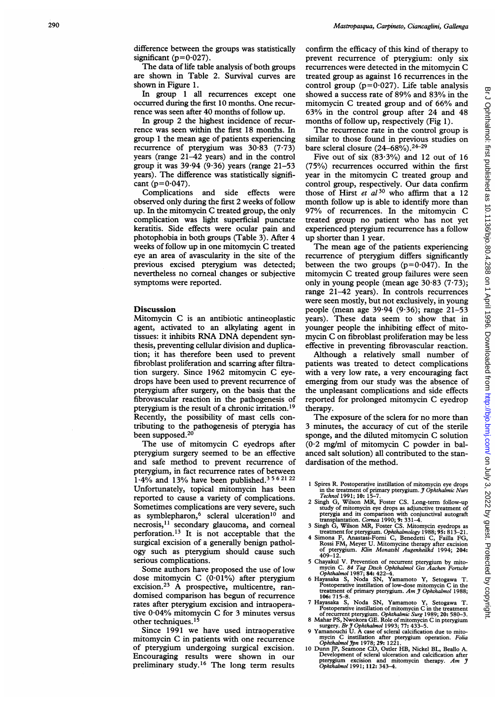difference between the groups was statistically significant ( $p=0.027$ ).

The data of life table analysis of both groups are shown in Table 2. Survival curves are shown in Figure 1.

In group <sup>1</sup> all recurrences except one occurred during the first 10 months. One recurrence was seen after 40 months of follow up.

In group 2 the highest incidence of recurrence was seen within the first 18 months. In group <sup>1</sup> the mean age of patients experiencing recurrence of pterygium was  $30.83$  (7.73) years (range 21-42 years) and in the control group it was  $39.94$  (9.36) years (range 21-53 years). The difference was statistically significant ( $p=0.047$ ).<br>Complications

and side effects were observed only during the first 2 weeks of follow up. In the mitomycin C treated group, the only complication was light superficial punctate keratitis. Side effects were ocular pain and photophobia in both groups (Table 3). After 4 weeks of follow up in one mitomycin C treated eye an area of avascularity in the site of the previous excised pterygium was detected; nevertheless no comeal changes or subjective symptoms were reported.

#### **Discussion**

Mitomycin C is an antibiotic antineoplastic agent, activated to an alkylating agent in tissues: it inhibits RNA DNA dependent synthesis, preventing cellular division and duplication; it has therefore been used to prevent fibroblast proliferation and scarring after filtration surgery. Since 1962 mitomycin C eyedrops have been used to prevent recurrence of pterygium after surgery, on the basis that the fibrovascular reaction in the pathogenesis of pterygium is the result of a chronic irritation.19 Recently, the possibility of mast cells contributing to the pathogenesis of pterygia has been supposed.<sup>20</sup>

The use of mitomycin C eyedrops after pterygium surgery seemed to be an effective and safe method to prevent recurrence of pterygium, in fact recurrence rates of between  $1.4\%$  and 13% have been published.<sup>3562122</sup> Unfortunately, topical mitomycin has been reported to cause a variety of complications. Sometimes complications are very severe, such as symblepharon,<sup>6</sup> scleral ulceration<sup>10</sup> and necrosis,11 secondary glaucoma, and corneal perforation.<sup>13</sup> It is not acceptable that the surgical excision of a generally benign pathology such as pterygium should cause such serious complications.

Some authors have proposed the use of low dose mitomycin C (0-01%) after pterygium excision.23 A prospective, multicentre, randomised comparison has begun of recurrence rates after pterygium excision and intraoperative  $0.04\%$  mitomycin C for 3 minutes versus other techniques.<sup>15</sup>

Since 1991 we have used intraoperative mitomycin C in patients with one recurrence of pterygium undergoing surgical excision. Encouraging results were shown in our preliminary study.16 The long term results confirm the efficacy of this kind of therapy to prevent recurrence of pterygium: only six recurrences were detected in the mitomycin C treated group as against 16 recurrences in the control group ( $p=0.027$ ). Life table analysis showed <sup>a</sup> success rate of 89% and 83% in the mitomycin C treated group and of 66% and 63% in the control group after 24 and 48 months of follow up, respectively (Fig 1).

The recurrence rate in the control group is similar to those found in previous studies on bare scleral closure  $(24-68\%)$ . <sup>24-29</sup>

Five out of six  $(83.3\%)$  and 12 out of 16 (75%) recurrences occurred within the first year in the mitomycin C treated group and control group, respectively. Our data confirm those of Hirst *et al*  $30$  who affirm that a 12 month follow up is able to identify more than 97% of recurrences. In the mitomycin C treated group no patient who has not yet experienced pterygium recurrence has a follow up shorter than 1 year.

The mean age of the patients experiencing recurrence of pterygium differs significantly between the two groups  $(p=0.047)$ . In the mitomycin C treated group failures were seen only in young people (mean age  $30.83$  (7.73); range 21-42 years). In controls recurrences were seen mostly, but not exclusively, in young people (mean age  $39.94$  (9.36); range  $21-53$ years). These data seem to show that in younger people the inhibiting effect of mitomycin C on fibroblast proliferation may be less effective in preventing fibrovascular reaction.

Although a relatively small number of patients was treated to detect complications with a very low rate, a very encouraging fact emerging from our study was the absence of the unpleasant complications and side effects reported for prolonged mitomycin C eyedrop therapy.

The exposure of the sclera for no more than 3 minutes, the accuracy of cut of the sterile sponge, and the diluted mitomycin C solution (0-2 mg/ml of mitomycin C powder in balanced salt solution) all contributed to the standardisation of the method.

- 2 Singh G, Wilson MR, Foster CS. Long-term follow-up study of mitomycin eye drops as adjunctive treatment of pterygia and its comparison with conjunctival autograft<br>transplantation. Cornea 1990; 9: 331–4.<br>3 Singh G, Wilson MR, Foster CS. Mitomycin eyedrops as
- 
- treatment for pterygium. Ophthalmology 1988; 95: 813–21.<br>4 Simona F, Anastasi-Forni C, Benedetti C, Failla FG,<br>Rossi FM, Meyer U. Mitomycine therapy after excision of pterygium. *Klin Monatsbl Augenheilkd* 1994; **204:**<br>409–12.
- 5 Chayakul V. Prevention of recurrent pterygium by mito-<br>mycin C. 84 Tag Dtsch Ophthalmol 1987;<br>Ophthalmol 1987; 84: 422-4.<br>6 Hayasaka S, Noda SN, Yamamoto Y, Setogawa T.
- Postoperative instillation of low-dose mitomycin C in the treatment of primary pterygium. Am J Ophthalmol 1988;
- 106: 715-8.<br>
7 Hayasaka S, Noda SN, Yamamoto Y, Setogawa T.<br>
12 Hayasaka S, Noda SN, Yamamoto Y, Setogawa T.<br>
7 Postoperative instillation of mitomycin C in the treatment<br>
of recurrent pterygium. Ophthalmic Surg 1989; 20:
- 
- mycin C instillation after pterygium operation. Folia Ophthalmol Jpn 1978; 29: 1221.
- 10 Dunn JP, Seamone CD, Ostler HB, Nickel BL, Beallo A. Development of scleral ulceration and calcification after pterygium excision and mitomycin therapy. Am  $\hat{j}$ <br>Ophthalmol 1991; 112: 343-4.

<sup>1</sup> Spires R. Postoperative instillation of mitomycin eye drops in the treatment of primary pterygium. J Ophthalmic Nurs Technol 1991; 10: 15-7.